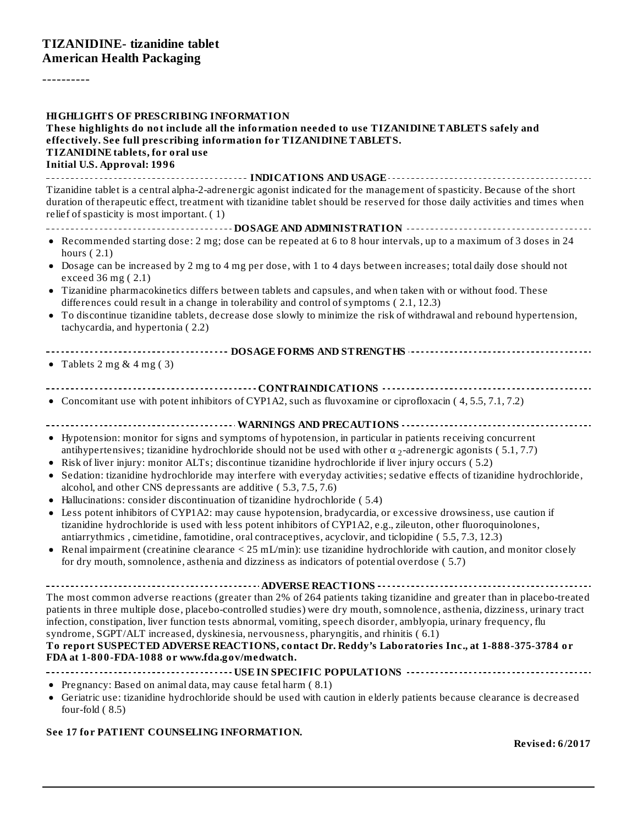----------

| <b>HIGHLIGHTS OF PRESCRIBING INFORMATION</b><br>These highlights do not include all the information needed to use TIZANIDINE TABLETS safely and<br>effectively. See full prescribing information for TIZANIDINE TABLETS.<br>TIZANIDINE tablets, for oral use<br><b>Initial U.S. Approval: 1996</b>                                                                                                                                                                                                                                                                                                                                |
|-----------------------------------------------------------------------------------------------------------------------------------------------------------------------------------------------------------------------------------------------------------------------------------------------------------------------------------------------------------------------------------------------------------------------------------------------------------------------------------------------------------------------------------------------------------------------------------------------------------------------------------|
| Tizanidine tablet is a central alpha-2-adrenergic agonist indicated for the management of spasticity. Because of the short<br>duration of therapeutic effect, treatment with tizanidine tablet should be reserved for those daily activities and times when<br>relief of spasticity is most important. (1)                                                                                                                                                                                                                                                                                                                        |
|                                                                                                                                                                                                                                                                                                                                                                                                                                                                                                                                                                                                                                   |
| • Recommended starting dose: 2 mg; dose can be repeated at 6 to 8 hour intervals, up to a maximum of 3 doses in 24<br>hours $(2.1)$<br>• Dosage can be increased by 2 mg to 4 mg per dose, with 1 to 4 days between increases; total daily dose should not<br>exceed 36 mg (2.1)<br>• Tizanidine pharmacokinetics differs between tablets and capsules, and when taken with or without food. These                                                                                                                                                                                                                                |
| differences could result in a change in tolerability and control of symptoms (2.1, 12.3)                                                                                                                                                                                                                                                                                                                                                                                                                                                                                                                                          |
| • To discontinue tizanidine tablets, decrease dose slowly to minimize the risk of withdrawal and rebound hypertension,<br>tachycardia, and hypertonia (2.2)                                                                                                                                                                                                                                                                                                                                                                                                                                                                       |
|                                                                                                                                                                                                                                                                                                                                                                                                                                                                                                                                                                                                                                   |
| • Tablets $2 \text{ mg} \& 4 \text{ mg} (3)$                                                                                                                                                                                                                                                                                                                                                                                                                                                                                                                                                                                      |
|                                                                                                                                                                                                                                                                                                                                                                                                                                                                                                                                                                                                                                   |
| • Concomitant use with potent inhibitors of CYP1A2, such as fluvoxamine or ciprofloxacin (4, 5.5, 7.1, 7.2)                                                                                                                                                                                                                                                                                                                                                                                                                                                                                                                       |
|                                                                                                                                                                                                                                                                                                                                                                                                                                                                                                                                                                                                                                   |
| • Hypotension: monitor for signs and symptoms of hypotension, in particular in patients receiving concurrent<br>antihypertensives; tizanidine hydrochloride should not be used with other $\alpha$ <sub>2</sub> -adrenergic agonists (5.1, 7.7)<br>Risk of liver injury: monitor ALTs; discontinue tizanidine hydrochloride if liver injury occurs (5.2)<br>Sedation: tizanidine hydrochloride may interfere with everyday activities; sedative effects of tizanidine hydrochloride,<br>٠<br>alcohol, and other CNS depressants are additive (5.3, 7.5, 7.6)                                                                      |
| Hallucinations: consider discontinuation of tizanidine hydrochloride (5.4)                                                                                                                                                                                                                                                                                                                                                                                                                                                                                                                                                        |
| Less potent inhibitors of CYP1A2: may cause hypotension, bradycardia, or excessive drowsiness, use caution if<br>٠<br>tizanidine hydrochloride is used with less potent inhibitors of CYP1A2, e.g., zileuton, other fluoroquinolones,<br>antiarrythmics, cimetidine, famotidine, oral contraceptives, acyclovir, and ticlopidine (5.5, 7.3, 12.3)                                                                                                                                                                                                                                                                                 |
| • Renal impairment (creatinine clearance $\leq$ 25 mL/min): use tizanidine hydrochloride with caution, and monitor closely<br>for dry mouth, somnolence, asthenia and dizziness as indicators of potential overdose (5.7)                                                                                                                                                                                                                                                                                                                                                                                                         |
|                                                                                                                                                                                                                                                                                                                                                                                                                                                                                                                                                                                                                                   |
| The most common adverse reactions (greater than 2% of 264 patients taking tizanidine and greater than in placebo-treated<br>patients in three multiple dose, placebo-controlled studies) were dry mouth, somnolence, asthenia, dizziness, urinary tract<br>infection, constipation, liver function tests abnormal, vomiting, speech disorder, amblyopia, urinary frequency, flu<br>syndrome, SGPT/ALT increased, dyskinesia, nervousness, pharyngitis, and rhinitis (6.1)<br>To report SUSPECTED ADVERSE REACTIONS, contact Dr. Reddy's Laboratories Inc., at 1-888-375-3784 or<br>FDA at 1-800-FDA-1088 or www.fda.gov/medwatch. |
|                                                                                                                                                                                                                                                                                                                                                                                                                                                                                                                                                                                                                                   |
| • Pregnancy: Based on animal data, may cause fetal harm (8.1)<br>• Geriatric use: tizanidine hydrochloride should be used with caution in elderly patients because clearance is decreased<br>four-fold $(8.5)$                                                                                                                                                                                                                                                                                                                                                                                                                    |
| See 17 for PATIENT COUNSELING INFORMATION.                                                                                                                                                                                                                                                                                                                                                                                                                                                                                                                                                                                        |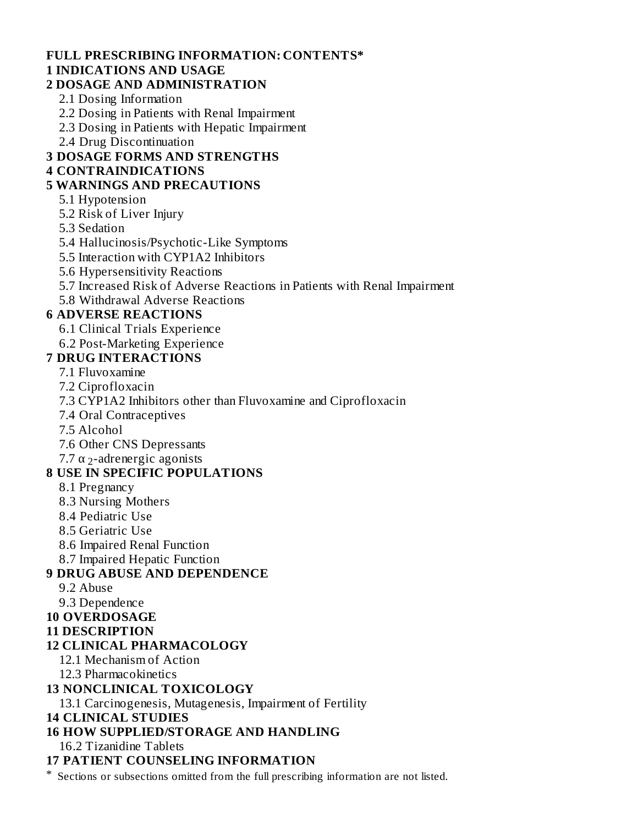#### **FULL PRESCRIBING INFORMATION: CONTENTS\* 1 INDICATIONS AND USAGE**

### **2 DOSAGE AND ADMINISTRATION**

- 2.1 Dosing Information
- 2.2 Dosing in Patients with Renal Impairment
- 2.3 Dosing in Patients with Hepatic Impairment
- 2.4 Drug Discontinuation

### **3 DOSAGE FORMS AND STRENGTHS**

### **4 CONTRAINDICATIONS**

### **5 WARNINGS AND PRECAUTIONS**

- 5.1 Hypotension
- 5.2 Risk of Liver Injury
- 5.3 Sedation
- 5.4 Hallucinosis/Psychotic-Like Symptoms
- 5.5 Interaction with CYP1A2 Inhibitors
- 5.6 Hypersensitivity Reactions
- 5.7 Increased Risk of Adverse Reactions in Patients with Renal Impairment
- 5.8 Withdrawal Adverse Reactions

### **6 ADVERSE REACTIONS**

- 6.1 Clinical Trials Experience
- 6.2 Post-Marketing Experience
- **7 DRUG INTERACTIONS**
	- 7.1 Fluvoxamine
	- 7.2 Ciprofloxacin
	- 7.3 CYP1A2 Inhibitors other than Fluvoxamine and Ciprofloxacin
	- 7.4 Oral Contraceptives
	- 7.5 Alcohol
	- 7.6 Other CNS Depressants
	- 7.7  $\alpha$  <sub>2</sub>-adrenergic agonists

### **8 USE IN SPECIFIC POPULATIONS**

- 8.1 Pregnancy
- 8.3 Nursing Mothers
- 8.4 Pediatric Use
- 8.5 Geriatric Use
- 8.6 Impaired Renal Function
- 8.7 Impaired Hepatic Function

### **9 DRUG ABUSE AND DEPENDENCE**

- 9.2 Abuse
- 9.3 Dependence
- **10 OVERDOSAGE**
- **11 DESCRIPTION**

### **12 CLINICAL PHARMACOLOGY**

- 12.1 Mechanism of Action
- 12.3 Pharmacokinetics

### **13 NONCLINICAL TOXICOLOGY**

13.1 Carcinogenesis, Mutagenesis, Impairment of Fertility

### **14 CLINICAL STUDIES**

### **16 HOW SUPPLIED/STORAGE AND HANDLING**

16.2 Tizanidine Tablets

## **17 PATIENT COUNSELING INFORMATION**

\* Sections or subsections omitted from the full prescribing information are not listed.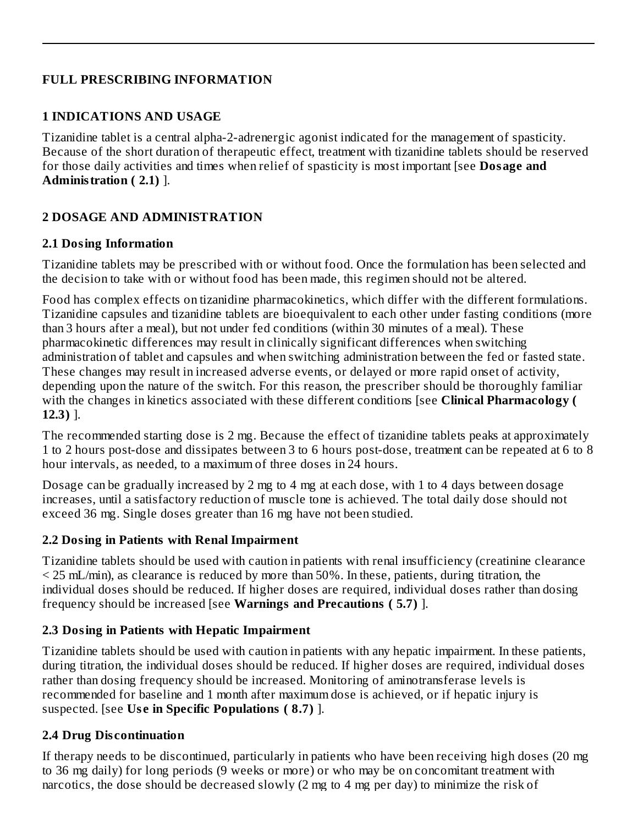### **FULL PRESCRIBING INFORMATION**

### **1 INDICATIONS AND USAGE**

Tizanidine tablet is a central alpha-2-adrenergic agonist indicated for the management of spasticity. Because of the short duration of therapeutic effect, treatment with tizanidine tablets should be reserved for those daily activities and times when relief of spasticity is most important [see **Dosage and Administration ( 2.1)** ].

### **2 DOSAGE AND ADMINISTRATION**

### **2.1 Dosing Information**

Tizanidine tablets may be prescribed with or without food. Once the formulation has been selected and the decision to take with or without food has been made, this regimen should not be altered.

Food has complex effects on tizanidine pharmacokinetics, which differ with the different formulations. Tizanidine capsules and tizanidine tablets are bioequivalent to each other under fasting conditions (more than 3 hours after a meal), but not under fed conditions (within 30 minutes of a meal). These pharmacokinetic differences may result in clinically significant differences when switching administration of tablet and capsules and when switching administration between the fed or fasted state. These changes may result in increased adverse events, or delayed or more rapid onset of activity, depending upon the nature of the switch. For this reason, the prescriber should be thoroughly familiar with the changes in kinetics associated with these different conditions [see **Clinical Pharmacology ( 12.3)** ].

The recommended starting dose is 2 mg. Because the effect of tizanidine tablets peaks at approximately 1 to 2 hours post-dose and dissipates between 3 to 6 hours post-dose, treatment can be repeated at 6 to 8 hour intervals, as needed, to a maximum of three doses in 24 hours.

Dosage can be gradually increased by 2 mg to 4 mg at each dose, with 1 to 4 days between dosage increases, until a satisfactory reduction of muscle tone is achieved. The total daily dose should not exceed 36 mg. Single doses greater than 16 mg have not been studied.

### **2.2 Dosing in Patients with Renal Impairment**

Tizanidine tablets should be used with caution in patients with renal insufficiency (creatinine clearance  $\leq$  25 mL/min), as clearance is reduced by more than 50%. In these, patients, during titration, the individual doses should be reduced. If higher doses are required, individual doses rather than dosing frequency should be increased [see **Warnings and Precautions ( 5.7)** ].

### **2.3 Dosing in Patients with Hepatic Impairment**

Tizanidine tablets should be used with caution in patients with any hepatic impairment. In these patients, during titration, the individual doses should be reduced. If higher doses are required, individual doses rather than dosing frequency should be increased. Monitoring of aminotransferase levels is recommended for baseline and 1 month after maximum dose is achieved, or if hepatic injury is suspected. [see **Us e in Specific Populations ( 8.7)** ].

### **2.4 Drug Dis continuation**

If therapy needs to be discontinued, particularly in patients who have been receiving high doses (20 mg to 36 mg daily) for long periods (9 weeks or more) or who may be on concomitant treatment with narcotics, the dose should be decreased slowly (2 mg to 4 mg per day) to minimize the risk of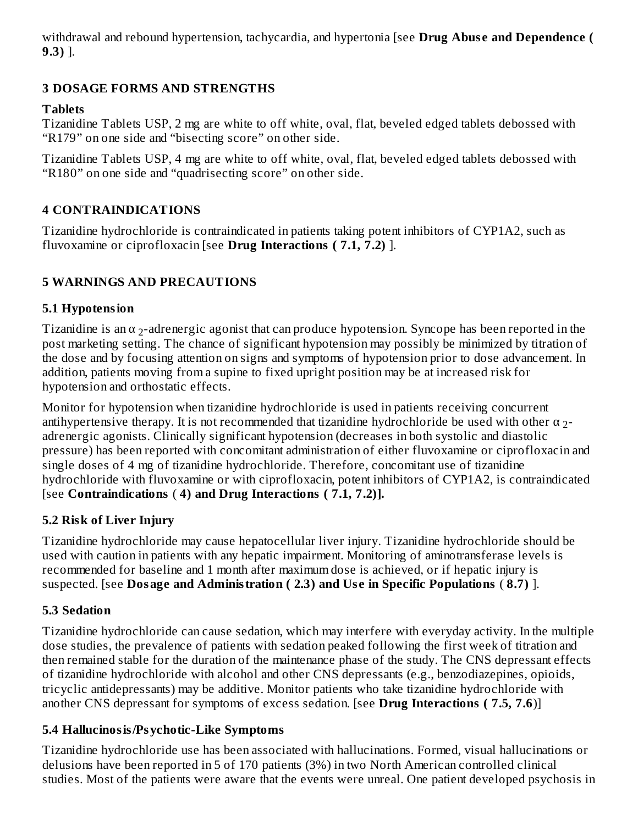withdrawal and rebound hypertension, tachycardia, and hypertonia [see **Drug Abus e and Dependence ( 9.3)** ].

## **3 DOSAGE FORMS AND STRENGTHS**

### **Tablets**

Tizanidine Tablets USP, 2 mg are white to off white, oval, flat, beveled edged tablets debossed with "R179" on one side and "bisecting score" on other side.

Tizanidine Tablets USP, 4 mg are white to off white, oval, flat, beveled edged tablets debossed with "R180" on one side and "quadrisecting score" on other side.

## **4 CONTRAINDICATIONS**

Tizanidine hydrochloride is contraindicated in patients taking potent inhibitors of CYP1A2, such as fluvoxamine or ciprofloxacin [see **Drug Interactions ( 7.1, 7.2)** ].

## **5 WARNINGS AND PRECAUTIONS**

## **5.1 Hypotension**

Tizanidine is an  $\alpha$  <sub>2</sub>-adrenergic agonist that can produce hypotension. Syncope has been reported in the post marketing setting. The chance of significant hypotension may possibly be minimized by titration of the dose and by focusing attention on signs and symptoms of hypotension prior to dose advancement. In addition, patients moving from a supine to fixed upright position may be at increased risk for hypotension and orthostatic effects.

Monitor for hypotension when tizanidine hydrochloride is used in patients receiving concurrent antihypertensive therapy. It is not recommended that tizanidine hydrochloride be used with other  $\alpha$  <sub>2</sub>adrenergic agonists. Clinically significant hypotension (decreases in both systolic and diastolic pressure) has been reported with concomitant administration of either fluvoxamine or ciprofloxacin and single doses of 4 mg of tizanidine hydrochloride. Therefore, concomitant use of tizanidine hydrochloride with fluvoxamine or with ciprofloxacin, potent inhibitors of CYP1A2, is contraindicated [see **Contraindications** ( **4) and Drug Interactions ( 7.1, 7.2)].**

## **5.2 Risk of Liver Injury**

Tizanidine hydrochloride may cause hepatocellular liver injury. Tizanidine hydrochloride should be used with caution in patients with any hepatic impairment. Monitoring of aminotransferase levels is recommended for baseline and 1 month after maximum dose is achieved, or if hepatic injury is suspected. [see **Dosage and Administration ( 2.3) and Us e in Specific Populations** ( **8.7)** ].

## **5.3 Sedation**

Tizanidine hydrochloride can cause sedation, which may interfere with everyday activity. In the multiple dose studies, the prevalence of patients with sedation peaked following the first week of titration and then remained stable for the duration of the maintenance phase of the study. The CNS depressant effects of tizanidine hydrochloride with alcohol and other CNS depressants (e.g., benzodiazepines, opioids, tricyclic antidepressants) may be additive. Monitor patients who take tizanidine hydrochloride with another CNS depressant for symptoms of excess sedation. [see **Drug Interactions ( 7.5, 7.6**)]

## **5.4 Hallucinosis/Psychotic-Like Symptoms**

Tizanidine hydrochloride use has been associated with hallucinations. Formed, visual hallucinations or delusions have been reported in 5 of 170 patients (3%) in two North American controlled clinical studies. Most of the patients were aware that the events were unreal. One patient developed psychosis in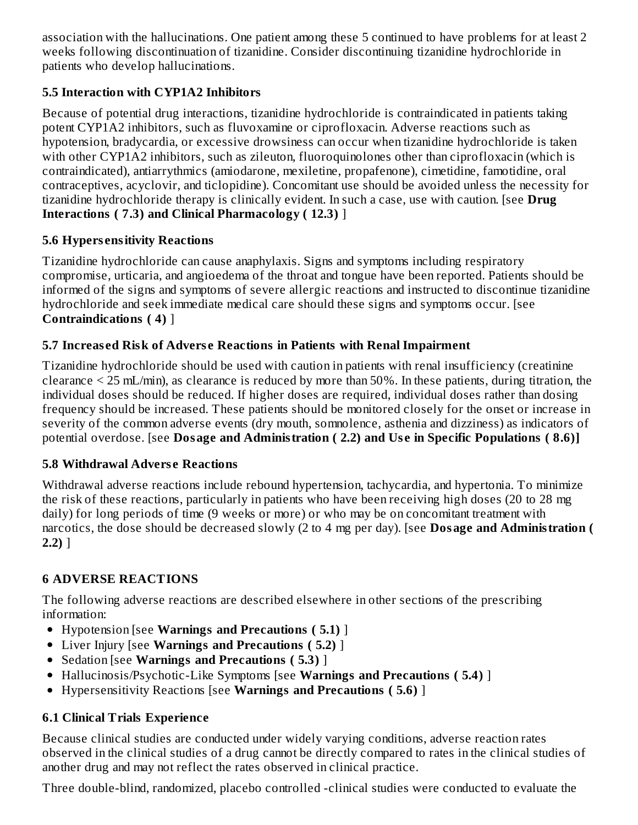association with the hallucinations. One patient among these 5 continued to have problems for at least 2 weeks following discontinuation of tizanidine. Consider discontinuing tizanidine hydrochloride in patients who develop hallucinations.

## **5.5 Interaction with CYP1A2 Inhibitors**

Because of potential drug interactions, tizanidine hydrochloride is contraindicated in patients taking potent CYP1A2 inhibitors, such as fluvoxamine or ciprofloxacin. Adverse reactions such as hypotension, bradycardia, or excessive drowsiness can occur when tizanidine hydrochloride is taken with other CYP1A2 inhibitors, such as zileuton, fluoroquinolones other than ciprofloxacin (which is contraindicated), antiarrythmics (amiodarone, mexiletine, propafenone), cimetidine, famotidine, oral contraceptives, acyclovir, and ticlopidine). Concomitant use should be avoided unless the necessity for tizanidine hydrochloride therapy is clinically evident. In such a case, use with caution. [see **Drug Interactions ( 7.3) and Clinical Pharmacology ( 12.3)** ]

## **5.6 Hypers ensitivity Reactions**

Tizanidine hydrochloride can cause anaphylaxis. Signs and symptoms including respiratory compromise, urticaria, and angioedema of the throat and tongue have been reported. Patients should be informed of the signs and symptoms of severe allergic reactions and instructed to discontinue tizanidine hydrochloride and seek immediate medical care should these signs and symptoms occur. [see **Contraindications ( 4)** ]

## **5.7 Increas ed Risk of Advers e Reactions in Patients with Renal Impairment**

Tizanidine hydrochloride should be used with caution in patients with renal insufficiency (creatinine clearance < 25 mL/min), as clearance is reduced by more than 50%. In these patients, during titration, the individual doses should be reduced. If higher doses are required, individual doses rather than dosing frequency should be increased. These patients should be monitored closely for the onset or increase in severity of the common adverse events (dry mouth, somnolence, asthenia and dizziness) as indicators of potential overdose. [see **Dosage and Administration ( 2.2) and Us e in Specific Populations ( 8.6)]**

## **5.8 Withdrawal Advers e Reactions**

Withdrawal adverse reactions include rebound hypertension, tachycardia, and hypertonia. To minimize the risk of these reactions, particularly in patients who have been receiving high doses (20 to 28 mg daily) for long periods of time (9 weeks or more) or who may be on concomitant treatment with narcotics, the dose should be decreased slowly (2 to 4 mg per day). [see **Dosage and Administration ( 2.2)** ]

## **6 ADVERSE REACTIONS**

The following adverse reactions are described elsewhere in other sections of the prescribing information:

- Hypotension [see **Warnings and Precautions ( 5.1)** ]
- Liver Injury [see **Warnings and Precautions ( 5.2)** ]
- Sedation [see **Warnings and Precautions ( 5.3)** ]
- Hallucinosis/Psychotic-Like Symptoms [see **Warnings and Precautions ( 5.4)** ]
- Hypersensitivity Reactions [see **Warnings and Precautions ( 5.6)** ]

## **6.1 Clinical Trials Experience**

Because clinical studies are conducted under widely varying conditions, adverse reaction rates observed in the clinical studies of a drug cannot be directly compared to rates in the clinical studies of another drug and may not reflect the rates observed in clinical practice.

Three double-blind, randomized, placebo controlled -clinical studies were conducted to evaluate the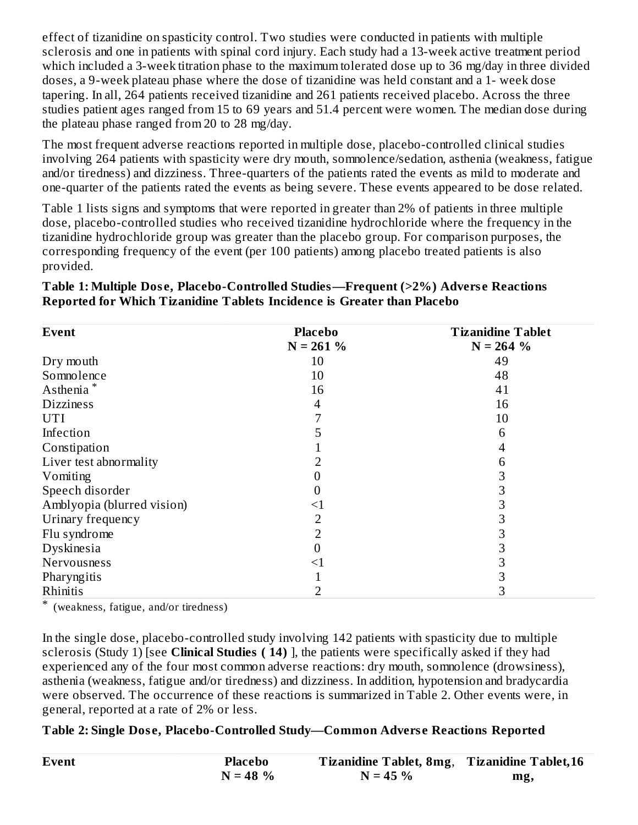effect of tizanidine on spasticity control. Two studies were conducted in patients with multiple sclerosis and one in patients with spinal cord injury. Each study had a 13-week active treatment period which included a 3-week titration phase to the maximum tolerated dose up to 36 mg/day in three divided doses, a 9-week plateau phase where the dose of tizanidine was held constant and a 1- week dose tapering. In all, 264 patients received tizanidine and 261 patients received placebo. Across the three studies patient ages ranged from 15 to 69 years and 51.4 percent were women. The median dose during the plateau phase ranged from 20 to 28 mg/day.

The most frequent adverse reactions reported in multiple dose, placebo-controlled clinical studies involving 264 patients with spasticity were dry mouth, somnolence/sedation, asthenia (weakness, fatigue and/or tiredness) and dizziness. Three-quarters of the patients rated the events as mild to moderate and one-quarter of the patients rated the events as being severe. These events appeared to be dose related.

Table 1 lists signs and symptoms that were reported in greater than 2% of patients in three multiple dose, placebo-controlled studies who received tizanidine hydrochloride where the frequency in the tizanidine hydrochloride group was greater than the placebo group. For comparison purposes, the corresponding frequency of the event (per 100 patients) among placebo treated patients is also provided.

### **Table 1: Multiple Dos e, Placebo-Controlled Studies—Frequent (>2%) Advers e Reactions Reported for Which Tizanidine Tablets Incidence is Greater than Placebo**

| <b>Event</b>               | <b>Placebo</b> | <b>Tizanidine Tablet</b> |
|----------------------------|----------------|--------------------------|
|                            | $N = 261%$     | $N = 264%$               |
| Dry mouth                  | 10             | 49                       |
| Somnolence                 | 10             | 48                       |
| Asthenia <sup>*</sup>      | 16             | 41                       |
| <b>Dizziness</b>           | 4              | 16                       |
| <b>UTI</b>                 |                | 10                       |
| Infection                  | 5              | 6                        |
| Constipation               |                | 4                        |
| Liver test abnormality     |                | 6                        |
| Vomiting                   |                | 3                        |
| Speech disorder            |                | 3                        |
| Amblyopia (blurred vision) | $<$ 1          | 3                        |
| Urinary frequency          | 2              | З                        |
| Flu syndrome               |                | З                        |
| Dyskinesia                 |                | З                        |
| Nervousness                | ${<}1$         | 3                        |
| Pharyngitis                |                | 3                        |
| Rhinitis                   |                | З                        |

\* (weakness, fatigue, and/or tiredness)

In the single dose, placebo-controlled study involving 142 patients with spasticity due to multiple sclerosis (Study 1) [see **Clinical Studies ( 14)** ], the patients were specifically asked if they had experienced any of the four most common adverse reactions: dry mouth, somnolence (drowsiness), asthenia (weakness, fatigue and/or tiredness) and dizziness. In addition, hypotension and bradycardia were observed. The occurrence of these reactions is summarized in Table 2. Other events were, in general, reported at a rate of 2% or less.

### **Table 2: Single Dos e, Placebo-Controlled Study—Common Advers e Reactions Reported**

| <b>Event</b> | Placebo     | Tizanidine Tablet, 8mg, Tizanidine Tablet, 16 |     |
|--------------|-------------|-----------------------------------------------|-----|
|              | $N = 48 \%$ | $N = 45 \%$                                   | mg, |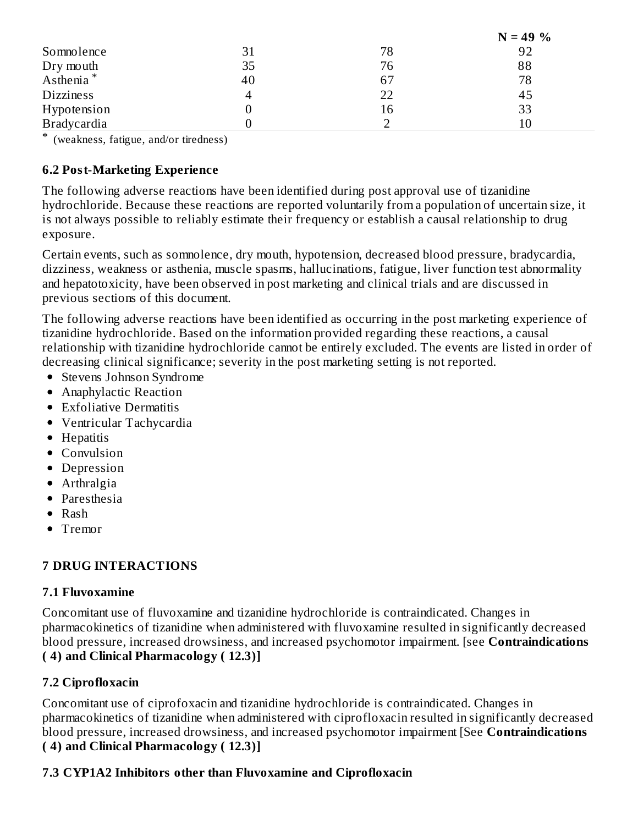|                       |    |    | $N = 49 \%$ |
|-----------------------|----|----|-------------|
| Somnolence            | 31 | 78 | 92          |
| Dry mouth             | 35 | 76 | 88          |
| Asthenia <sup>*</sup> | 40 | 67 | 78          |
| <b>Dizziness</b>      | 4  | 22 | 45          |
| Hypotension           |    | 16 | 33          |
| <b>Bradycardia</b>    |    |    | 10          |

\* (weakness, fatigue, and/or tiredness)

### **6.2 Post-Marketing Experience**

The following adverse reactions have been identified during post approval use of tizanidine hydrochloride. Because these reactions are reported voluntarily from a population of uncertain size, it is not always possible to reliably estimate their frequency or establish a causal relationship to drug exposure.

Certain events, such as somnolence, dry mouth, hypotension, decreased blood pressure, bradycardia, dizziness, weakness or asthenia, muscle spasms, hallucinations, fatigue, liver function test abnormality and hepatotoxicity, have been observed in post marketing and clinical trials and are discussed in previous sections of this document.

The following adverse reactions have been identified as occurring in the post marketing experience of tizanidine hydrochloride. Based on the information provided regarding these reactions, a causal relationship with tizanidine hydrochloride cannot be entirely excluded. The events are listed in order of decreasing clinical significance; severity in the post marketing setting is not reported.

- Stevens Johnson Syndrome
- Anaphylactic Reaction
- Exfoliative Dermatitis
- Ventricular Tachycardia
- Hepatitis
- Convulsion
- Depression
- Arthralgia
- Paresthesia
- Rash
- Tremor

## **7 DRUG INTERACTIONS**

### **7.1 Fluvoxamine**

Concomitant use of fluvoxamine and tizanidine hydrochloride is contraindicated. Changes in pharmacokinetics of tizanidine when administered with fluvoxamine resulted in significantly decreased blood pressure, increased drowsiness, and increased psychomotor impairment. [see **Contraindications ( 4) and Clinical Pharmacology ( 12.3)]**

## **7.2 Ciprofloxacin**

Concomitant use of ciprofoxacin and tizanidine hydrochloride is contraindicated. Changes in pharmacokinetics of tizanidine when administered with ciprofloxacin resulted in significantly decreased blood pressure, increased drowsiness, and increased psychomotor impairment [See **Contraindications ( 4) and Clinical Pharmacology ( 12.3)]**

## **7.3 CYP1A2 Inhibitors other than Fluvoxamine and Ciprofloxacin**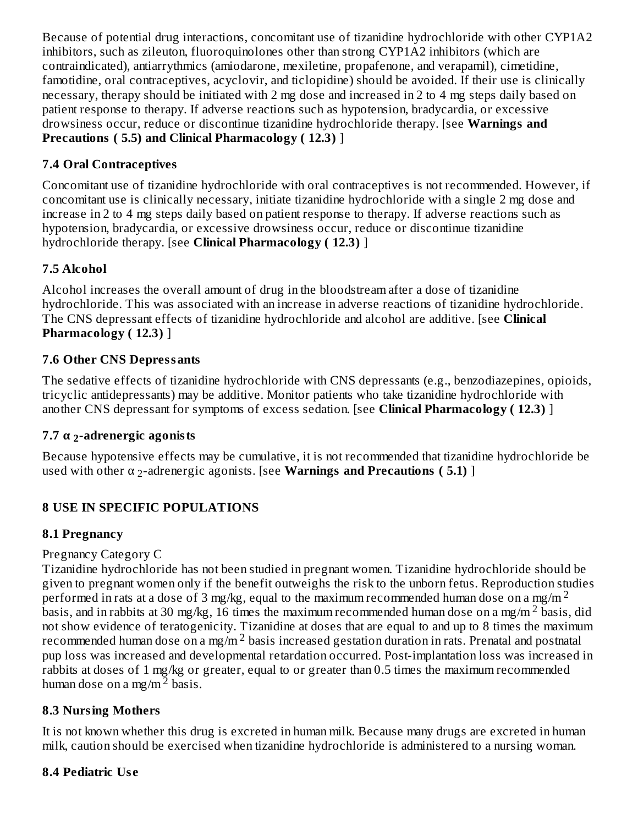Because of potential drug interactions, concomitant use of tizanidine hydrochloride with other CYP1A2 inhibitors, such as zileuton, fluoroquinolones other than strong CYP1A2 inhibitors (which are contraindicated), antiarrythmics (amiodarone, mexiletine, propafenone, and verapamil), cimetidine, famotidine, oral contraceptives, acyclovir, and ticlopidine) should be avoided. If their use is clinically necessary, therapy should be initiated with 2 mg dose and increased in 2 to 4 mg steps daily based on patient response to therapy. If adverse reactions such as hypotension, bradycardia, or excessive drowsiness occur, reduce or discontinue tizanidine hydrochloride therapy. [see **Warnings and Precautions ( 5.5) and Clinical Pharmacology ( 12.3)** ]

## **7.4 Oral Contraceptives**

Concomitant use of tizanidine hydrochloride with oral contraceptives is not recommended. However, if concomitant use is clinically necessary, initiate tizanidine hydrochloride with a single 2 mg dose and increase in 2 to 4 mg steps daily based on patient response to therapy. If adverse reactions such as hypotension, bradycardia, or excessive drowsiness occur, reduce or discontinue tizanidine hydrochloride therapy. [see **Clinical Pharmacology ( 12.3)** ]

## **7.5 Alcohol**

Alcohol increases the overall amount of drug in the bloodstream after a dose of tizanidine hydrochloride. This was associated with an increase in adverse reactions of tizanidine hydrochloride. The CNS depressant effects of tizanidine hydrochloride and alcohol are additive. [see **Clinical Pharmacology ( 12.3)** ]

## **7.6 Other CNS Depressants**

The sedative effects of tizanidine hydrochloride with CNS depressants (e.g., benzodiazepines, opioids, tricyclic antidepressants) may be additive. Monitor patients who take tizanidine hydrochloride with another CNS depressant for symptoms of excess sedation. [see **Clinical Pharmacology ( 12.3)** ]

## **7.7 α -adrenergic agonists 2**

Because hypotensive effects may be cumulative, it is not recommended that tizanidine hydrochloride be **u**sed with other α <sub>2</sub>-adrenergic agonists. [see **Warnings and Precautions ( 5.1)** ]

## **8 USE IN SPECIFIC POPULATIONS**

## **8.1 Pregnancy**

## Pregnancy Category C

Tizanidine hydrochloride has not been studied in pregnant women. Tizanidine hydrochloride should be given to pregnant women only if the benefit outweighs the risk to the unborn fetus. Reproduction studies performed in rats at a dose of 3 mg/kg, equal to the maximum recommended human dose on a mg/m  $^2$ basis, and in rabbits at 30 mg/kg, 16 times the maximum recommended human dose on a mg/m  $^2$  basis, did not show evidence of teratogenicity. Tizanidine at doses that are equal to and up to 8 times the maximum recommended human dose on a mg/m  $^2$  basis increased gestation duration in rats. Prenatal and postnatal pup loss was increased and developmental retardation occurred. Post-implantation loss was increased in rabbits at doses of 1 mg/kg or greater, equal to or greater than 0.5 times the maximum recommended human dose on a mg/m $^{\text{2}}$  basis.

## **8.3 Nursing Mothers**

It is not known whether this drug is excreted in human milk. Because many drugs are excreted in human milk, caution should be exercised when tizanidine hydrochloride is administered to a nursing woman.

## **8.4 Pediatric Us e**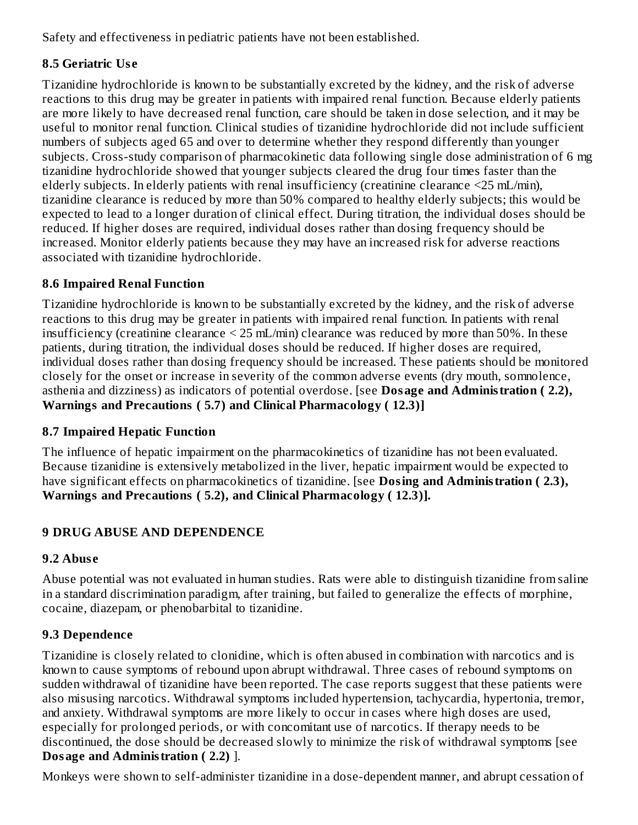Safety and effectiveness in pediatric patients have not been established.

## **8.5 Geriatric Us e**

Tizanidine hydrochloride is known to be substantially excreted by the kidney, and the risk of adverse reactions to this drug may be greater in patients with impaired renal function. Because elderly patients are more likely to have decreased renal function, care should be taken in dose selection, and it may be useful to monitor renal function. Clinical studies of tizanidine hydrochloride did not include sufficient numbers of subjects aged 65 and over to determine whether they respond differently than younger subjects. Cross-study comparison of pharmacokinetic data following single dose administration of 6 mg tizanidine hydrochloride showed that younger subjects cleared the drug four times faster than the elderly subjects. In elderly patients with renal insufficiency (creatinine clearance <25 mL/min), tizanidine clearance is reduced by more than 50% compared to healthy elderly subjects; this would be expected to lead to a longer duration of clinical effect. During titration, the individual doses should be reduced. If higher doses are required, individual doses rather than dosing frequency should be increased. Monitor elderly patients because they may have an increased risk for adverse reactions associated with tizanidine hydrochloride.

## **8.6 Impaired Renal Function**

Tizanidine hydrochloride is known to be substantially excreted by the kidney, and the risk of adverse reactions to this drug may be greater in patients with impaired renal function. In patients with renal insufficiency (creatinine clearance < 25 mL/min) clearance was reduced by more than 50%. In these patients, during titration, the individual doses should be reduced. If higher doses are required, individual doses rather than dosing frequency should be increased. These patients should be monitored closely for the onset or increase in severity of the common adverse events (dry mouth, somnolence, asthenia and dizziness) as indicators of potential overdose. [see **Dosage and Administration ( 2.2), Warnings and Precautions ( 5.7) and Clinical Pharmacology ( 12.3)]**

## **8.7 Impaired Hepatic Function**

The influence of hepatic impairment on the pharmacokinetics of tizanidine has not been evaluated. Because tizanidine is extensively metabolized in the liver, hepatic impairment would be expected to have significant effects on pharmacokinetics of tizanidine. [see **Dosing and Administration ( 2.3), Warnings and Precautions ( 5.2), and Clinical Pharmacology ( 12.3)].**

## **9 DRUG ABUSE AND DEPENDENCE**

## **9.2 Abus e**

Abuse potential was not evaluated in human studies. Rats were able to distinguish tizanidine from saline in a standard discrimination paradigm, after training, but failed to generalize the effects of morphine, cocaine, diazepam, or phenobarbital to tizanidine.

## **9.3 Dependence**

Tizanidine is closely related to clonidine, which is often abused in combination with narcotics and is known to cause symptoms of rebound upon abrupt withdrawal. Three cases of rebound symptoms on sudden withdrawal of tizanidine have been reported. The case reports suggest that these patients were also misusing narcotics. Withdrawal symptoms included hypertension, tachycardia, hypertonia, tremor, and anxiety. Withdrawal symptoms are more likely to occur in cases where high doses are used, especially for prolonged periods, or with concomitant use of narcotics. If therapy needs to be discontinued, the dose should be decreased slowly to minimize the risk of withdrawal symptoms [see **Dosage and Administration ( 2.2)** ].

Monkeys were shown to self-administer tizanidine in a dose-dependent manner, and abrupt cessation of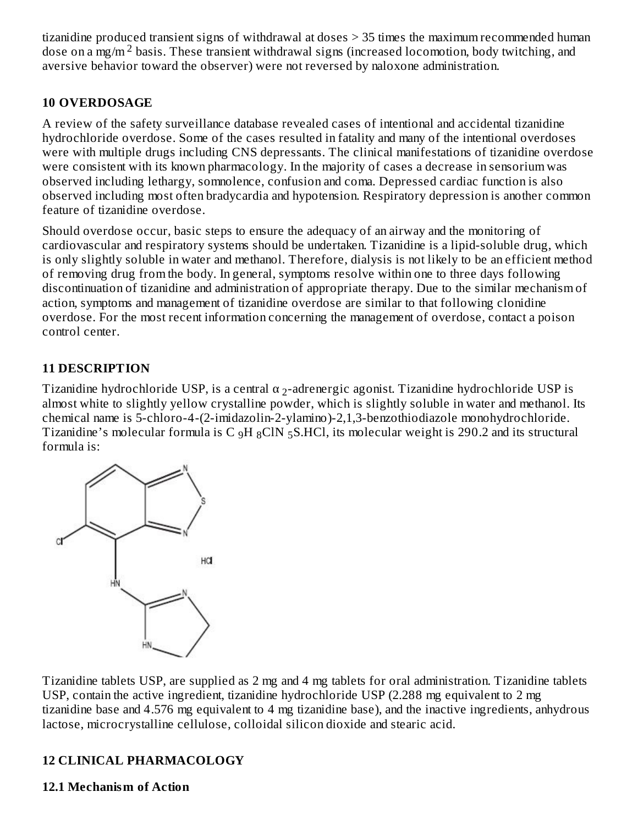tizanidine produced transient signs of withdrawal at doses > 35 times the maximum recommended human dose on a mg/m<sup>2</sup> basis. These transient withdrawal signs (increased locomotion, body twitching, and aversive behavior toward the observer) were not reversed by naloxone administration.

### **10 OVERDOSAGE**

A review of the safety surveillance database revealed cases of intentional and accidental tizanidine hydrochloride overdose. Some of the cases resulted in fatality and many of the intentional overdoses were with multiple drugs including CNS depressants. The clinical manifestations of tizanidine overdose were consistent with its known pharmacology. In the majority of cases a decrease in sensorium was observed including lethargy, somnolence, confusion and coma. Depressed cardiac function is also observed including most often bradycardia and hypotension. Respiratory depression is another common feature of tizanidine overdose.

Should overdose occur, basic steps to ensure the adequacy of an airway and the monitoring of cardiovascular and respiratory systems should be undertaken. Tizanidine is a lipid-soluble drug, which is only slightly soluble in water and methanol. Therefore, dialysis is not likely to be an efficient method of removing drug from the body. In general, symptoms resolve within one to three days following discontinuation of tizanidine and administration of appropriate therapy. Due to the similar mechanism of action, symptoms and management of tizanidine overdose are similar to that following clonidine overdose. For the most recent information concerning the management of overdose, contact a poison control center.

## **11 DESCRIPTION**

Tizanidine hydrochloride USP, is a central  $\alpha$  <sub>2</sub>-adrenergic agonist. Tizanidine hydrochloride USP is almost white to slightly yellow crystalline powder, which is slightly soluble in water and methanol. Its chemical name is 5-chloro-4-(2-imidazolin-2-ylamino)-2,1,3-benzothiodiazole monohydrochloride. Tizanidine's molecular formula is C  $_{9}H_{8}CIN_{5}S.HCl$ , its molecular weight is 290.2 and its structural formula is:



Tizanidine tablets USP, are supplied as 2 mg and 4 mg tablets for oral administration. Tizanidine tablets USP, contain the active ingredient, tizanidine hydrochloride USP (2.288 mg equivalent to 2 mg tizanidine base and 4.576 mg equivalent to 4 mg tizanidine base), and the inactive ingredients, anhydrous lactose, microcrystalline cellulose, colloidal silicon dioxide and stearic acid.

## **12 CLINICAL PHARMACOLOGY**

### **12.1 Mechanism of Action**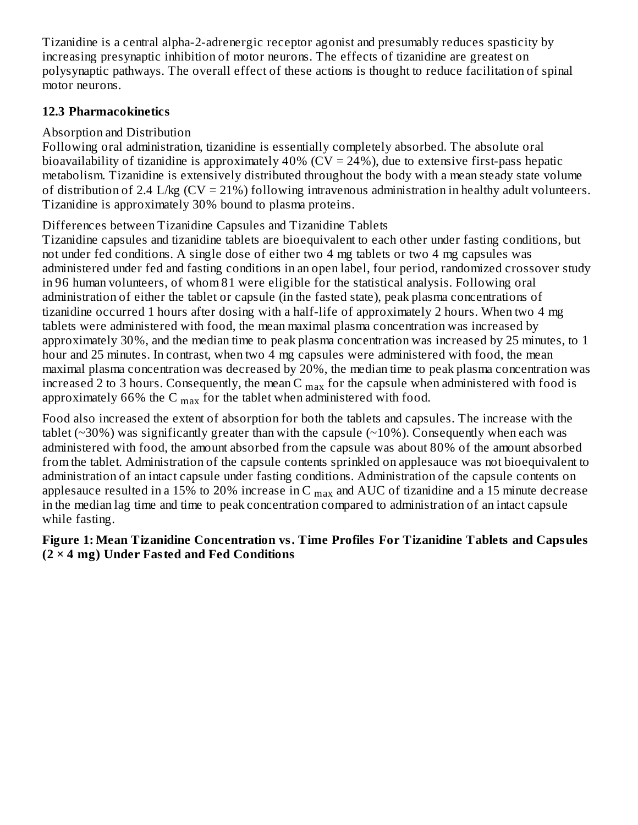Tizanidine is a central alpha-2-adrenergic receptor agonist and presumably reduces spasticity by increasing presynaptic inhibition of motor neurons. The effects of tizanidine are greatest on polysynaptic pathways. The overall effect of these actions is thought to reduce facilitation of spinal motor neurons.

### **12.3 Pharmacokinetics**

## Absorption and Distribution

Following oral administration, tizanidine is essentially completely absorbed. The absolute oral bioavailability of tizanidine is approximately  $40\%$  (CV = 24%), due to extensive first-pass hepatic metabolism. Tizanidine is extensively distributed throughout the body with a mean steady state volume of distribution of 2.4 L/kg  $(CV = 21%)$  following intravenous administration in healthy adult volunteers. Tizanidine is approximately 30% bound to plasma proteins.

Differences between Tizanidine Capsules and Tizanidine Tablets

Tizanidine capsules and tizanidine tablets are bioequivalent to each other under fasting conditions, but not under fed conditions. A single dose of either two 4 mg tablets or two 4 mg capsules was administered under fed and fasting conditions in an open label, four period, randomized crossover study in 96 human volunteers, of whom 81 were eligible for the statistical analysis. Following oral administration of either the tablet or capsule (in the fasted state), peak plasma concentrations of tizanidine occurred 1 hours after dosing with a half-life of approximately 2 hours. When two 4 mg tablets were administered with food, the mean maximal plasma concentration was increased by approximately 30%, and the median time to peak plasma concentration was increased by 25 minutes, to 1 hour and 25 minutes. In contrast, when two 4 mg capsules were administered with food, the mean maximal plasma concentration was decreased by 20%, the median time to peak plasma concentration was increased 2 to 3 hours. Consequently, the mean C  $_{\rm max}$  for the capsule when administered with food is approximately 66% the C  $_{\rm max}$  for the tablet when administered with food.

Food also increased the extent of absorption for both the tablets and capsules. The increase with the tablet ( $\sim$ 30%) was significantly greater than with the capsule ( $\sim$ 10%). Consequently when each was administered with food, the amount absorbed from the capsule was about 80% of the amount absorbed from the tablet. Administration of the capsule contents sprinkled on applesauce was not bioequivalent to administration of an intact capsule under fasting conditions. Administration of the capsule contents on applesauce resulted in a 15% to 20% increase in C  $_{\rm max}$  and AUC of tizanidine and a 15 minute decrease in the median lag time and time to peak concentration compared to administration of an intact capsule while fasting.

### **Figure 1: Mean Tizanidine Concentration vs. Time Profiles For Tizanidine Tablets and Capsules (2 × 4 mg) Under Fasted and Fed Conditions**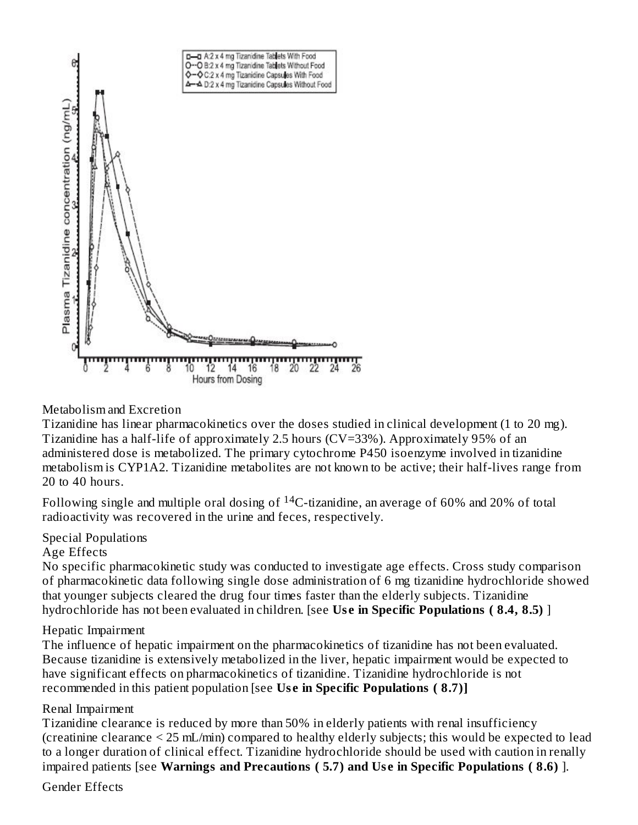

### Metabolism and Excretion

Tizanidine has linear pharmacokinetics over the doses studied in clinical development (1 to 20 mg). Tizanidine has a half-life of approximately 2.5 hours (CV=33%). Approximately 95% of an administered dose is metabolized. The primary cytochrome P450 isoenzyme involved in tizanidine metabolism is CYP1A2. Tizanidine metabolites are not known to be active; their half-lives range from 20 to 40 hours.

Following single and multiple oral dosing of  $^{14}$ C-tizanidine, an average of 60% and 20% of total radioactivity was recovered in the urine and feces, respectively.

#### Special Populations

#### Age Effects

No specific pharmacokinetic study was conducted to investigate age effects. Cross study comparison of pharmacokinetic data following single dose administration of 6 mg tizanidine hydrochloride showed that younger subjects cleared the drug four times faster than the elderly subjects. Tizanidine hydrochloride has not been evaluated in children. [see **Us e in Specific Populations ( 8.4, 8.5)** ]

#### Hepatic Impairment

The influence of hepatic impairment on the pharmacokinetics of tizanidine has not been evaluated. Because tizanidine is extensively metabolized in the liver, hepatic impairment would be expected to have significant effects on pharmacokinetics of tizanidine. Tizanidine hydrochloride is not recommended in this patient population [see **Us e in Specific Populations ( 8.7)]**

#### Renal Impairment

Tizanidine clearance is reduced by more than 50% in elderly patients with renal insufficiency (creatinine clearance < 25 mL/min) compared to healthy elderly subjects; this would be expected to lead to a longer duration of clinical effect. Tizanidine hydrochloride should be used with caution in renally impaired patients [see **Warnings and Precautions ( 5.7) and Us e in Specific Populations ( 8.6)** ].

Gender Effects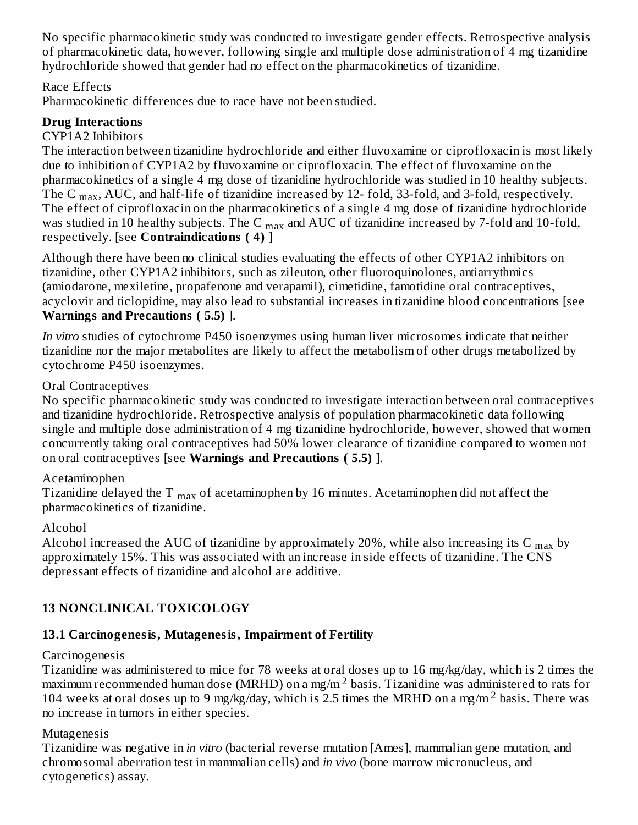No specific pharmacokinetic study was conducted to investigate gender effects. Retrospective analysis of pharmacokinetic data, however, following single and multiple dose administration of 4 mg tizanidine hydrochloride showed that gender had no effect on the pharmacokinetics of tizanidine.

### Race Effects

Pharmacokinetic differences due to race have not been studied.

## **Drug Interactions**

### CYP1A2 Inhibitors

The interaction between tizanidine hydrochloride and either fluvoxamine or ciprofloxacin is most likely due to inhibition of CYP1A2 by fluvoxamine or ciprofloxacin. The effect of fluvoxamine on the pharmacokinetics of a single 4 mg dose of tizanidine hydrochloride was studied in 10 healthy subjects. The C  $_{\rm max}$ , AUC, and half-life of tizanidine increased by 12- fold, 33-fold, and 3-fold, respectively. The effect of ciprofloxacin on the pharmacokinetics of a single 4 mg dose of tizanidine hydrochloride was studied in 10 healthy subjects. The C  $_{\rm max}$  and AUC of tizanidine increased by 7-fold and 10-fold, respectively. [see **Contraindications ( 4)** ]

Although there have been no clinical studies evaluating the effects of other CYP1A2 inhibitors on tizanidine, other CYP1A2 inhibitors, such as zileuton, other fluoroquinolones, antiarrythmics (amiodarone, mexiletine, propafenone and verapamil), cimetidine, famotidine oral contraceptives, acyclovir and ticlopidine, may also lead to substantial increases in tizanidine blood concentrations [see **Warnings and Precautions ( 5.5)** ].

*In vitro* studies of cytochrome P450 isoenzymes using human liver microsomes indicate that neither tizanidine nor the major metabolites are likely to affect the metabolism of other drugs metabolized by cytochrome P450 isoenzymes.

### Oral Contraceptives

No specific pharmacokinetic study was conducted to investigate interaction between oral contraceptives and tizanidine hydrochloride. Retrospective analysis of population pharmacokinetic data following single and multiple dose administration of 4 mg tizanidine hydrochloride, however, showed that women concurrently taking oral contraceptives had 50% lower clearance of tizanidine compared to women not on oral contraceptives [see **Warnings and Precautions ( 5.5)** ].

## Acetaminophen

Tizanidine delayed the T  $_{\rm max}$  of acetaminophen by 16 minutes. Acetaminophen did not affect the pharmacokinetics of tizanidine.

### Alcohol

Alcohol increased the AUC of tizanidine by approximately 20%, while also increasing its C  $_{\rm max}$  by approximately 15%. This was associated with an increase in side effects of tizanidine. The CNS depressant effects of tizanidine and alcohol are additive.

## **13 NONCLINICAL TOXICOLOGY**

## **13.1 Carcinogenesis, Mutagenesis, Impairment of Fertility**

## **Carcinogenesis**

Tizanidine was administered to mice for 78 weeks at oral doses up to 16 mg/kg/day, which is 2 times the maximum recommended human dose (MRHD) on a mg/m  $^2$  basis. Tizanidine was administered to rats for 104 weeks at oral doses up to 9 mg/kg/day, which is 2.5 times the MRHD on a mg/m<sup>2</sup> basis. There was no increase in tumors in either species.

### Mutagenesis

Tizanidine was negative in *in vitro* (bacterial reverse mutation [Ames], mammalian gene mutation, and chromosomal aberration test in mammalian cells) and *in vivo* (bone marrow micronucleus, and cytogenetics) assay.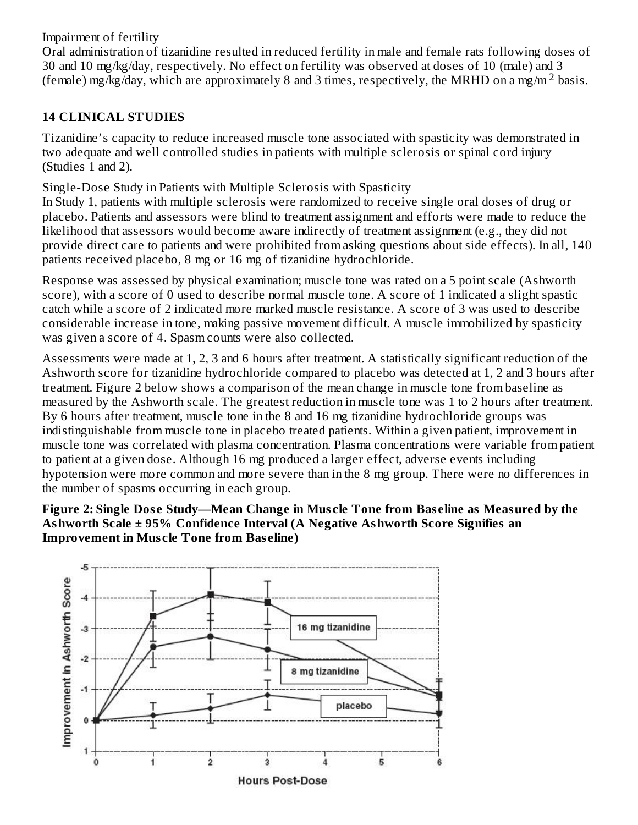Impairment of fertility

Oral administration of tizanidine resulted in reduced fertility in male and female rats following doses of 30 and 10 mg/kg/day, respectively. No effect on fertility was observed at doses of 10 (male) and 3 (female) mg/kg/day, which are approximately 8 and 3 times, respectively, the MRHD on a mg/m<sup>2</sup> basis.

### **14 CLINICAL STUDIES**

Tizanidine's capacity to reduce increased muscle tone associated with spasticity was demonstrated in two adequate and well controlled studies in patients with multiple sclerosis or spinal cord injury (Studies 1 and 2).

Single-Dose Study in Patients with Multiple Sclerosis with Spasticity

In Study 1, patients with multiple sclerosis were randomized to receive single oral doses of drug or placebo. Patients and assessors were blind to treatment assignment and efforts were made to reduce the likelihood that assessors would become aware indirectly of treatment assignment (e.g., they did not provide direct care to patients and were prohibited from asking questions about side effects). In all, 140 patients received placebo, 8 mg or 16 mg of tizanidine hydrochloride.

Response was assessed by physical examination; muscle tone was rated on a 5 point scale (Ashworth score), with a score of 0 used to describe normal muscle tone. A score of 1 indicated a slight spastic catch while a score of 2 indicated more marked muscle resistance. A score of 3 was used to describe considerable increase in tone, making passive movement difficult. A muscle immobilized by spasticity was given a score of 4. Spasm counts were also collected.

Assessments were made at 1, 2, 3 and 6 hours after treatment. A statistically significant reduction of the Ashworth score for tizanidine hydrochloride compared to placebo was detected at 1, 2 and 3 hours after treatment. Figure 2 below shows a comparison of the mean change in muscle tone from baseline as measured by the Ashworth scale. The greatest reduction in muscle tone was 1 to 2 hours after treatment. By 6 hours after treatment, muscle tone in the 8 and 16 mg tizanidine hydrochloride groups was indistinguishable from muscle tone in placebo treated patients. Within a given patient, improvement in muscle tone was correlated with plasma concentration. Plasma concentrations were variable from patient to patient at a given dose. Although 16 mg produced a larger effect, adverse events including hypotension were more common and more severe than in the 8 mg group. There were no differences in the number of spasms occurring in each group.

### **Figure 2: Single Dos e Study—Mean Change in Mus cle Tone from Bas eline as Measured by the Ashworth Scale ± 95% Confidence Interval (A Negative Ashworth Score Signifies an Improvement in Mus cle Tone from Bas eline)**

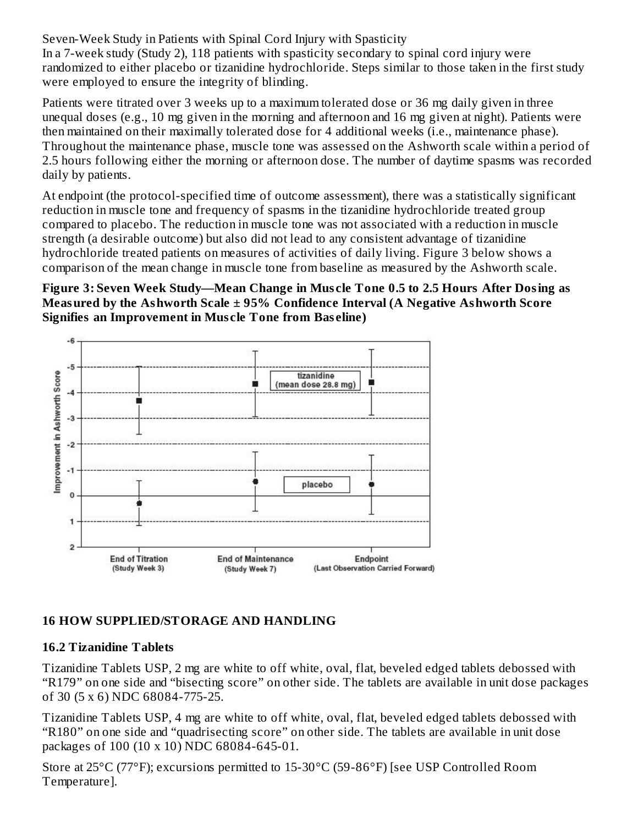Seven-Week Study in Patients with Spinal Cord Injury with Spasticity In a 7-week study (Study 2), 118 patients with spasticity secondary to spinal cord injury were randomized to either placebo or tizanidine hydrochloride. Steps similar to those taken in the first study were employed to ensure the integrity of blinding.

Patients were titrated over 3 weeks up to a maximum tolerated dose or 36 mg daily given in three unequal doses (e.g., 10 mg given in the morning and afternoon and 16 mg given at night). Patients were then maintained on their maximally tolerated dose for 4 additional weeks (i.e., maintenance phase). Throughout the maintenance phase, muscle tone was assessed on the Ashworth scale within a period of 2.5 hours following either the morning or afternoon dose. The number of daytime spasms was recorded daily by patients.

At endpoint (the protocol-specified time of outcome assessment), there was a statistically significant reduction in muscle tone and frequency of spasms in the tizanidine hydrochloride treated group compared to placebo. The reduction in muscle tone was not associated with a reduction in muscle strength (a desirable outcome) but also did not lead to any consistent advantage of tizanidine hydrochloride treated patients on measures of activities of daily living. Figure 3 below shows a comparison of the mean change in muscle tone from baseline as measured by the Ashworth scale.

### **Figure 3: Seven Week Study—Mean Change in Mus cle Tone 0.5 to 2.5 Hours After Dosing as Measured by the Ashworth Scale ± 95% Confidence Interval (A Negative Ashworth Score Signifies an Improvement in Mus cle Tone from Bas eline)**



## **16 HOW SUPPLIED/STORAGE AND HANDLING**

### **16.2 Tizanidine Tablets**

Tizanidine Tablets USP, 2 mg are white to off white, oval, flat, beveled edged tablets debossed with "R179" on one side and "bisecting score" on other side. The tablets are available in unit dose packages of 30 (5 x 6) NDC 68084-775-25.

Tizanidine Tablets USP, 4 mg are white to off white, oval, flat, beveled edged tablets debossed with "R180" on one side and "quadrisecting score" on other side. The tablets are available in unit dose packages of 100 (10 x 10) NDC 68084-645-01.

Store at 25°C (77°F); excursions permitted to 15-30°C (59-86°F) [see USP Controlled Room Temperature].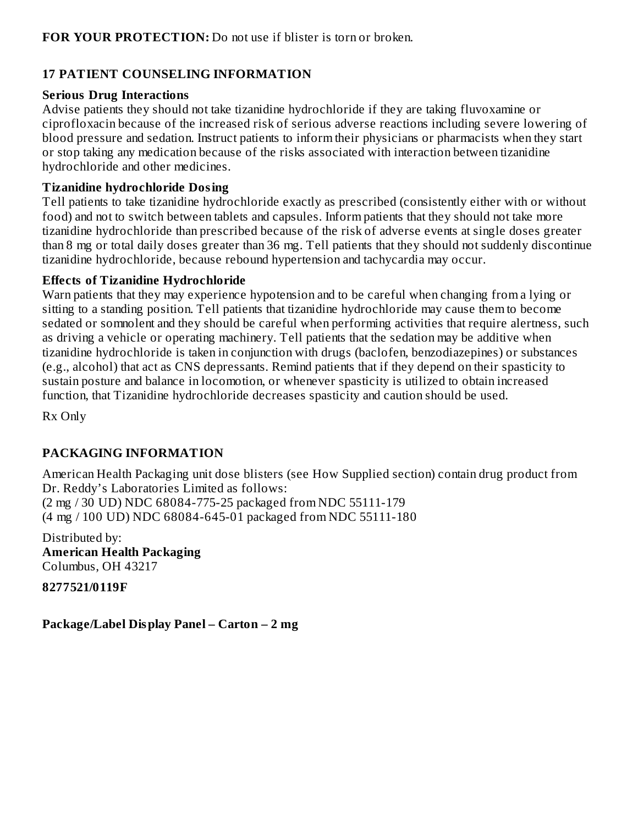### **17 PATIENT COUNSELING INFORMATION**

#### **Serious Drug Interactions**

Advise patients they should not take tizanidine hydrochloride if they are taking fluvoxamine or ciprofloxacin because of the increased risk of serious adverse reactions including severe lowering of blood pressure and sedation. Instruct patients to inform their physicians or pharmacists when they start or stop taking any medication because of the risks associated with interaction between tizanidine hydrochloride and other medicines.

### **Tizanidine hydrochloride Dosing**

Tell patients to take tizanidine hydrochloride exactly as prescribed (consistently either with or without food) and not to switch between tablets and capsules. Inform patients that they should not take more tizanidine hydrochloride than prescribed because of the risk of adverse events at single doses greater than 8 mg or total daily doses greater than 36 mg. Tell patients that they should not suddenly discontinue tizanidine hydrochloride, because rebound hypertension and tachycardia may occur.

### **Effects of Tizanidine Hydrochloride**

Warn patients that they may experience hypotension and to be careful when changing from a lying or sitting to a standing position. Tell patients that tizanidine hydrochloride may cause them to become sedated or somnolent and they should be careful when performing activities that require alertness, such as driving a vehicle or operating machinery. Tell patients that the sedation may be additive when tizanidine hydrochloride is taken in conjunction with drugs (baclofen, benzodiazepines) or substances (e.g., alcohol) that act as CNS depressants. Remind patients that if they depend on their spasticity to sustain posture and balance in locomotion, or whenever spasticity is utilized to obtain increased function, that Tizanidine hydrochloride decreases spasticity and caution should be used.

Rx Only

## **PACKAGING INFORMATION**

American Health Packaging unit dose blisters (see How Supplied section) contain drug product from Dr. Reddy's Laboratories Limited as follows: (2 mg / 30 UD) NDC 68084-775-25 packaged from NDC 55111-179 (4 mg / 100 UD) NDC 68084-645-01 packaged from NDC 55111-180

Distributed by: **American Health Packaging** Columbus, OH 43217

**8277521/0119F**

**Package/Label Display Panel – Carton – 2 mg**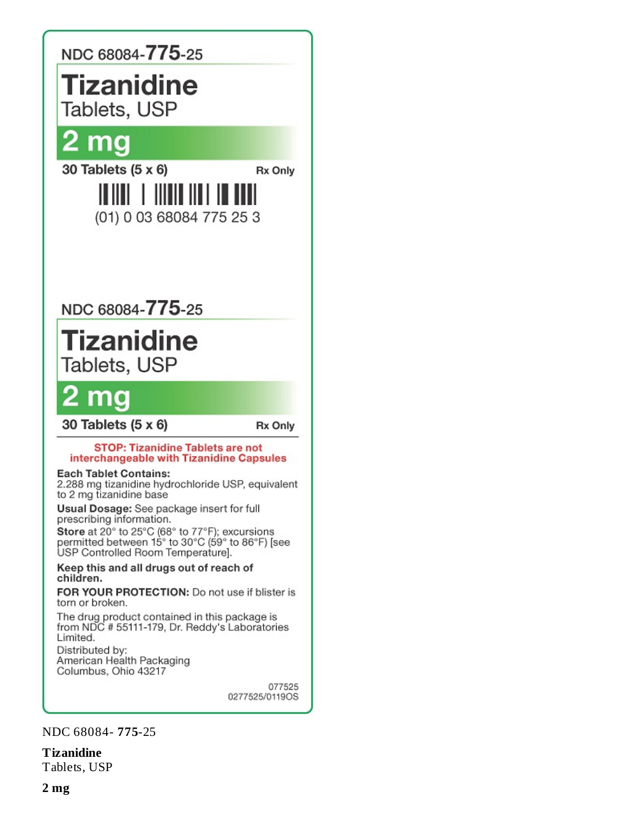

**Tizanidine**

Tablets, USP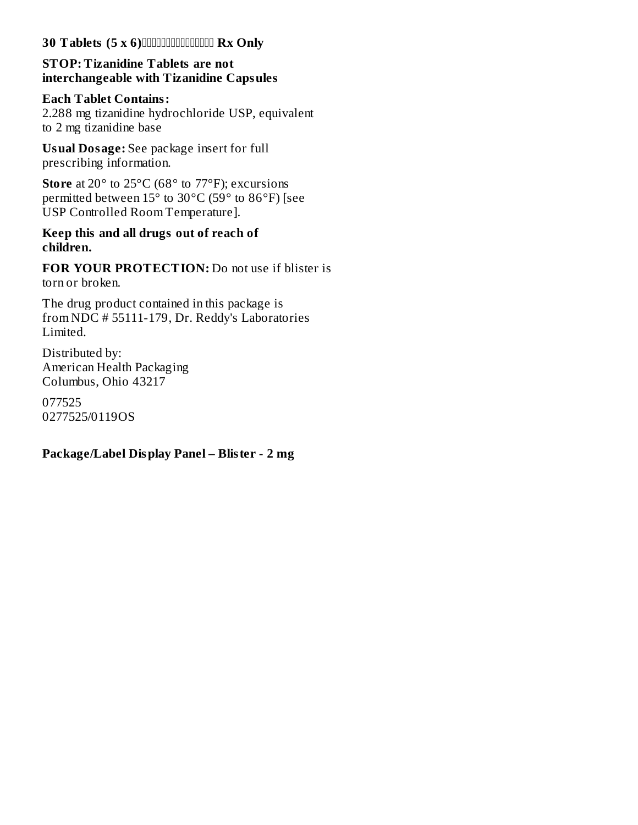#### **30 Tablets (5 x 6) Rx Only**

### **STOP: Tizanidine Tablets are not interchangeable with Tizanidine Capsules**

## **Each Tablet Contains:**

2.288 mg tizanidine hydrochloride USP, equivalent to 2 mg tizanidine base

**Usual Dosage:** See package insert for full prescribing information.

**Store** at 20° to 25°C (68° to 77°F); excursions permitted between  $15^{\circ}$  to  $30^{\circ}$ C ( $59^{\circ}$  to  $86^{\circ}$ F) [see USP Controlled Room Temperature].

### **Keep this and all drugs out of reach of children.**

**FOR YOUR PROTECTION:** Do not use if blister is torn or broken.

The drug product contained in this package is from NDC # 55111-179, Dr. Reddy's Laboratories Limited.

Distributed by: American Health Packaging Columbus, Ohio 43217

077525 0277525/0119OS

### **Package/Label Display Panel – Blister - 2 mg**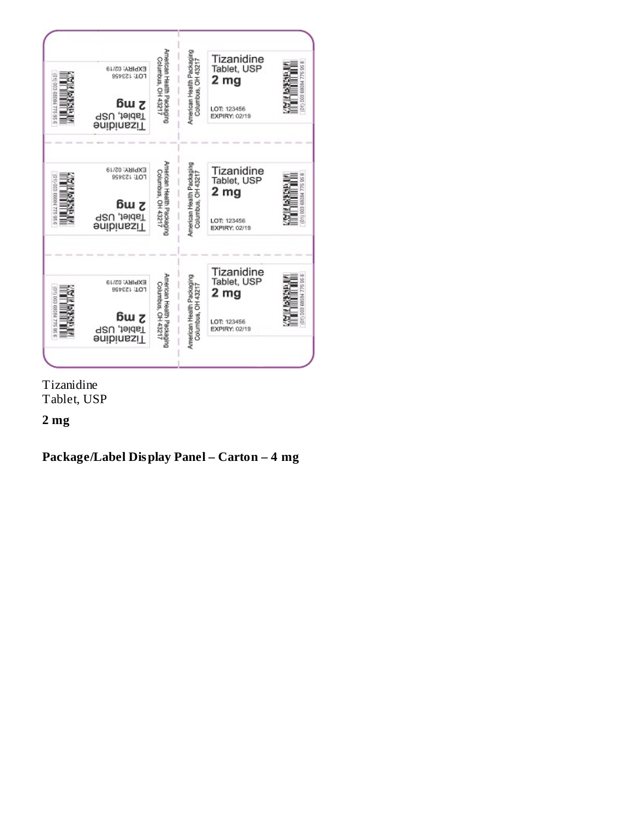| 0110036004775956        | EXPIRY: 02/19<br><b>FOL: 153428</b><br>ßω z<br>Tablet, USP<br><b>Jizanidine</b> | American Health Packaging<br>Columbus, OH 43217 | American Health Packaging<br>Columbus, OH 4321<br>Ï                                | Tizanidine<br>Tablet, USP<br>2 mg<br>LOT: 123456<br>EXPIRY: 02/19 | (D1) 008 68034 775 95 6                |
|-------------------------|---------------------------------------------------------------------------------|-------------------------------------------------|------------------------------------------------------------------------------------|-------------------------------------------------------------------|----------------------------------------|
| 021) 003 66004 775 95 6 | EXPIRY: 02/19<br><b>FOJ: 153498</b><br>ճա շ<br>Tablet, USP<br><b>Jizanidine</b> | American Health Packaging<br>Columbus, OH 43217 | American Health Packaging<br>Columbus OH 43217<br>Columbus, OH 4321<br>I<br>I<br>I | Tizanidine<br>Tablet, USP<br>2 mg<br>LOT: 123456<br>EXPIRY: 02/19 | 0 11 0 0 3 6 8 9 3 6 4 7 7 5 9 5 9 5 8 |
| 0.01 003 09/04 275 05:0 | EXPIRY: 02/19<br><b>FOL: 153498</b><br>ɓω ჳ<br>Tablet, USP<br><b>Jizanidine</b> | American Health Packaging<br>Columbus, OH 43217 | American Health Packaging<br>Columbus, OH 43217<br>Ī<br>Ī                          | Tizanidine<br>Tablet, USP<br>2 mg<br>LOT: 123456<br>EXPIRY: 02/19 | (01) 003 68034 775 95 6                |

Tizanidine Tablet, USP

## **2 mg**

## **Package/Label Display Panel – Carton – 4 mg**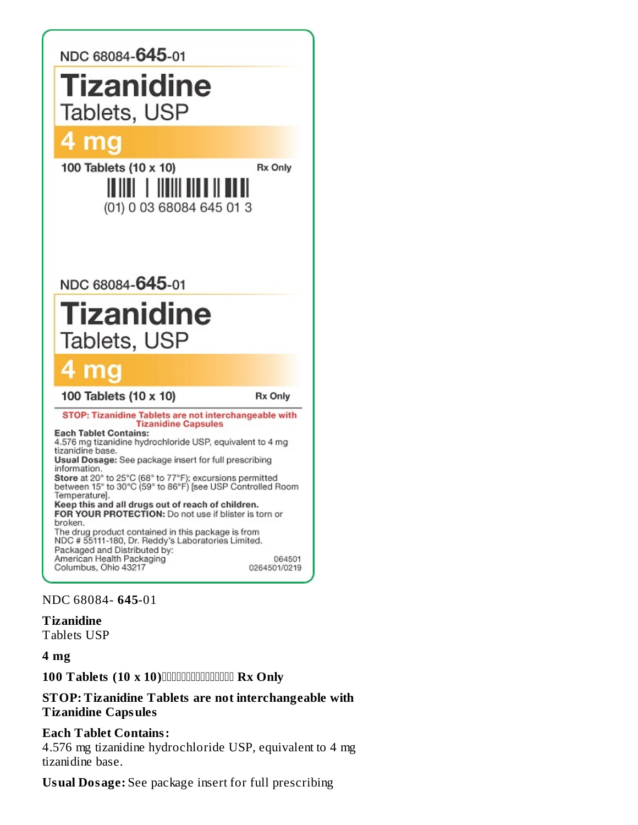

NDC 68084- **645**-01

**Tizanidine** Tablets USP

**4 mg**

**100 Tablets (10 x 10) Rx Only**

#### **STOP: Tizanidine Tablets are not interchangeable with Tizanidine Capsules**

#### **Each Tablet Contains:**

4.576 mg tizanidine hydrochloride USP, equivalent to 4 mg tizanidine base.

**Usual Dosage:** See package insert for full prescribing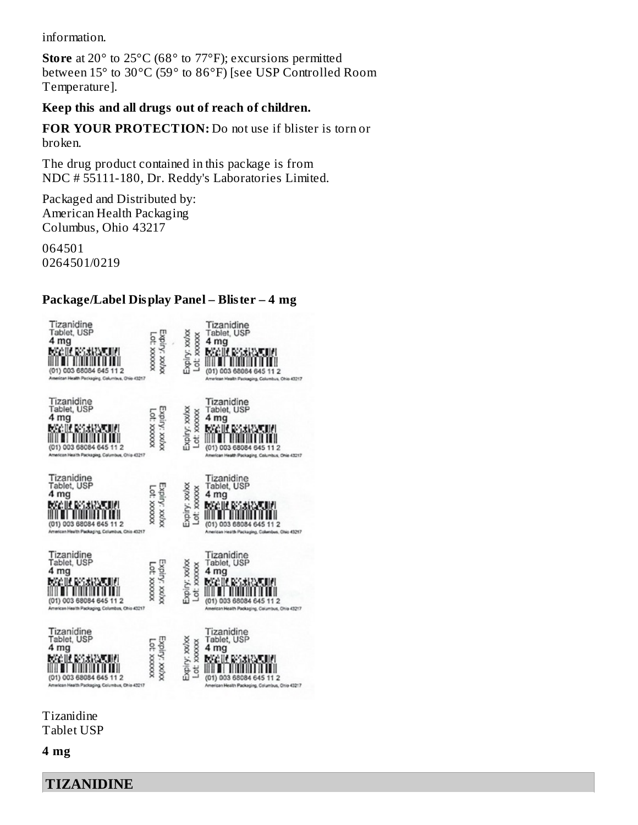information.

**Store** at 20° to 25°C (68° to 77°F); excursions permitted between 15° to 30°C (59° to 86°F) [see USP Controlled Room Temperature].

### **Keep this and all drugs out of reach of children.**

**FOR YOUR PROTECTION:** Do not use if blister is torn or broken.

The drug product contained in this package is from NDC # 55111-180, Dr. Reddy's Laboratories Limited.

Packaged and Distributed by: American Health Packaging Columbus, Ohio 43217

064501 0264501/0219

### **Package/Label Display Panel – Blister – 4 mg**



Tizanidine Tablet USP

**4 mg**

**TIZANIDINE**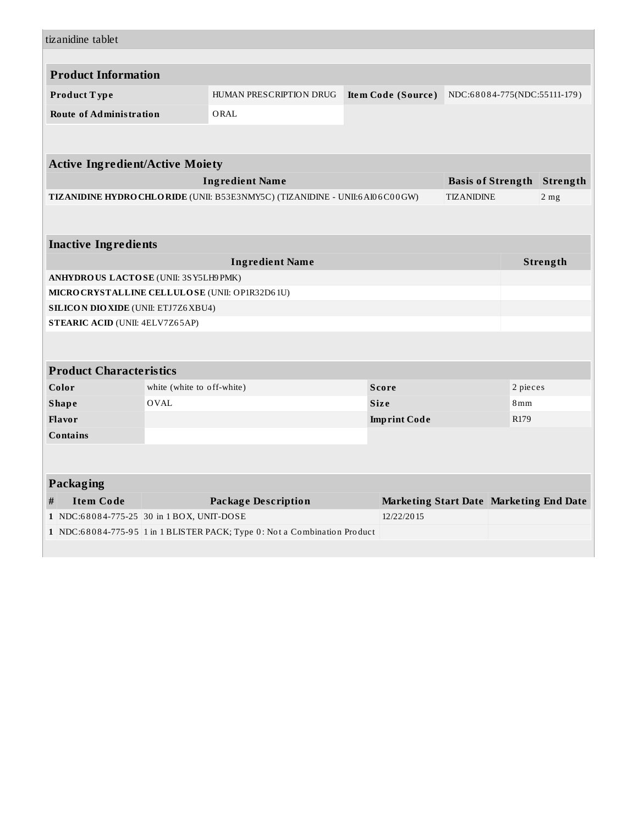| tizanidine tablet                               |                                    |                                                                             |  |                                         |                   |                                   |                 |
|-------------------------------------------------|------------------------------------|-----------------------------------------------------------------------------|--|-----------------------------------------|-------------------|-----------------------------------|-----------------|
|                                                 |                                    |                                                                             |  |                                         |                   |                                   |                 |
| <b>Product Information</b>                      |                                    |                                                                             |  |                                         |                   |                                   |                 |
| Product Type                                    |                                    | HUMAN PRESCRIPTION DRUG                                                     |  | Item Code (Source)                      |                   | NDC:68084-775(NDC:55111-179)      |                 |
| <b>Route of Administration</b>                  |                                    | ORAL                                                                        |  |                                         |                   |                                   |                 |
|                                                 |                                    |                                                                             |  |                                         |                   |                                   |                 |
|                                                 |                                    |                                                                             |  |                                         |                   |                                   |                 |
| <b>Active Ingredient/Active Moiety</b>          |                                    |                                                                             |  |                                         |                   |                                   |                 |
|                                                 |                                    | <b>Ingredient Name</b>                                                      |  |                                         |                   | <b>Basis of Strength Strength</b> |                 |
|                                                 |                                    | TIZANIDINE HYDRO CHLORIDE (UNII: B53E3NMY5C) (TIZANIDINE - UNII:6A106C00GW) |  |                                         | <b>TIZANIDINE</b> |                                   | 2 <sub>mg</sub> |
|                                                 |                                    |                                                                             |  |                                         |                   |                                   |                 |
|                                                 |                                    |                                                                             |  |                                         |                   |                                   |                 |
| <b>Inactive Ingredients</b>                     |                                    |                                                                             |  |                                         |                   |                                   |                 |
| <b>Ingredient Name</b><br>Strength              |                                    |                                                                             |  |                                         |                   |                                   |                 |
| ANHYDROUS LACTOSE (UNII: 3SY5LH9PMK)            |                                    |                                                                             |  |                                         |                   |                                   |                 |
| MICRO CRYSTALLINE CELLULO SE (UNII: OP1R32D61U) |                                    |                                                                             |  |                                         |                   |                                   |                 |
| <b>SILICON DIO XIDE (UNII: ETJ7Z6 XBU4)</b>     |                                    |                                                                             |  |                                         |                   |                                   |                 |
| <b>STEARIC ACID (UNII: 4ELV7Z65AP)</b>          |                                    |                                                                             |  |                                         |                   |                                   |                 |
|                                                 |                                    |                                                                             |  |                                         |                   |                                   |                 |
|                                                 |                                    |                                                                             |  |                                         |                   |                                   |                 |
| <b>Product Characteristics</b>                  |                                    |                                                                             |  |                                         |                   |                                   |                 |
| Color                                           | white (white to off-white)<br>OVAL |                                                                             |  | <b>Score</b><br><b>Size</b>             |                   | 2 pieces<br>8 <sub>mm</sub>       |                 |
| <b>Shape</b><br><b>Flavor</b>                   |                                    |                                                                             |  | <b>Imprint Code</b>                     |                   | R <sub>179</sub>                  |                 |
| <b>Contains</b>                                 |                                    |                                                                             |  |                                         |                   |                                   |                 |
|                                                 |                                    |                                                                             |  |                                         |                   |                                   |                 |
|                                                 |                                    |                                                                             |  |                                         |                   |                                   |                 |
| Packaging                                       |                                    |                                                                             |  |                                         |                   |                                   |                 |
| <b>Item Code</b><br>#                           |                                    | <b>Package Description</b>                                                  |  | Marketing Start Date Marketing End Date |                   |                                   |                 |
| 1 NDC:68084-775-25 30 in 1 BOX, UNIT-DOSE       |                                    |                                                                             |  | 12/22/2015                              |                   |                                   |                 |
|                                                 |                                    | 1 NDC:68084-775-95 1 in 1 BLISTER PACK; Type 0: Not a Combination Product   |  |                                         |                   |                                   |                 |
|                                                 |                                    |                                                                             |  |                                         |                   |                                   |                 |
|                                                 |                                    |                                                                             |  |                                         |                   |                                   |                 |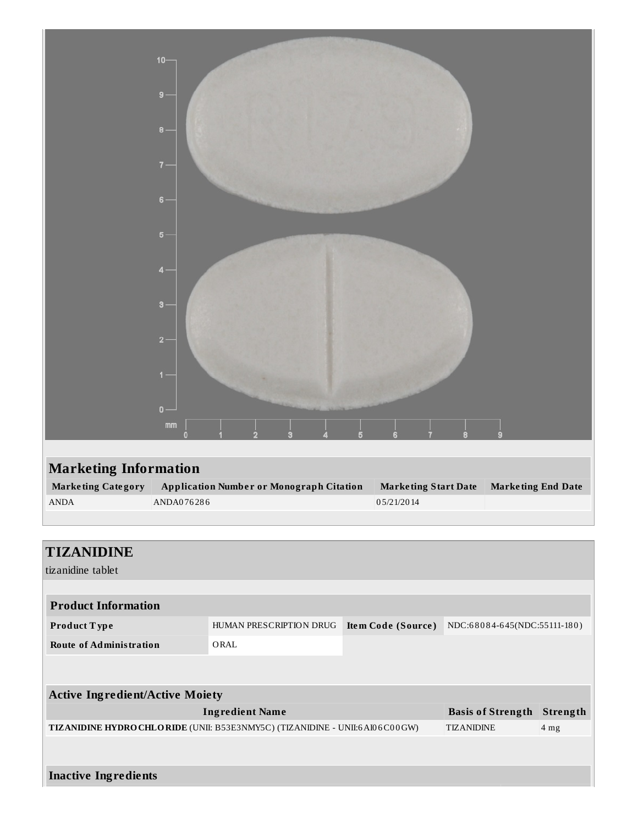|                              | $10 -$<br>$9 -$<br>$B -$<br>$7 -$<br>$6 -$                                       |                             |                           |
|------------------------------|----------------------------------------------------------------------------------|-----------------------------|---------------------------|
|                              | $5 -$<br>$4 -$<br>$3 -$<br>$2 -$<br>$1 -$<br>$0 -$<br>$\mathop{\rm mm}\nolimits$ |                             |                           |
|                              | $\Omega$                                                                         |                             |                           |
| <b>Marketing Information</b> |                                                                                  |                             |                           |
| <b>Marketing Category</b>    | <b>Application Number or Monograph Citation</b>                                  | <b>Marketing Start Date</b> | <b>Marketing End Date</b> |
| $\operatorname{ANDA}$        | ANDA076286                                                                       | 05/21/2014                  |                           |

| <b>TIZANIDINE</b><br>tizanidine tablet                                        |                         |                    |                              |                 |
|-------------------------------------------------------------------------------|-------------------------|--------------------|------------------------------|-----------------|
|                                                                               |                         |                    |                              |                 |
| <b>Product Information</b>                                                    |                         |                    |                              |                 |
| Product Type                                                                  | HUMAN PRESCRIPTION DRUG | Item Code (Source) | NDC:68084-645(NDC:55111-180) |                 |
| <b>Route of Administration</b>                                                | ORAL                    |                    |                              |                 |
|                                                                               |                         |                    |                              |                 |
| <b>Active Ingredient/Active Moiety</b>                                        |                         |                    |                              |                 |
|                                                                               | <b>Ingredient Name</b>  |                    | <b>Basis of Strength</b>     | Strength        |
| TIZANIDINE HYDRO CHLO RIDE (UNII: B53E3NMY5C) (TIZANIDINE - UNII:6 AI06C00GW) |                         |                    | <b>TIZANIDINE</b>            | 4 <sub>mg</sub> |
|                                                                               |                         |                    |                              |                 |
| <b>Inactive Ingredients</b>                                                   |                         |                    |                              |                 |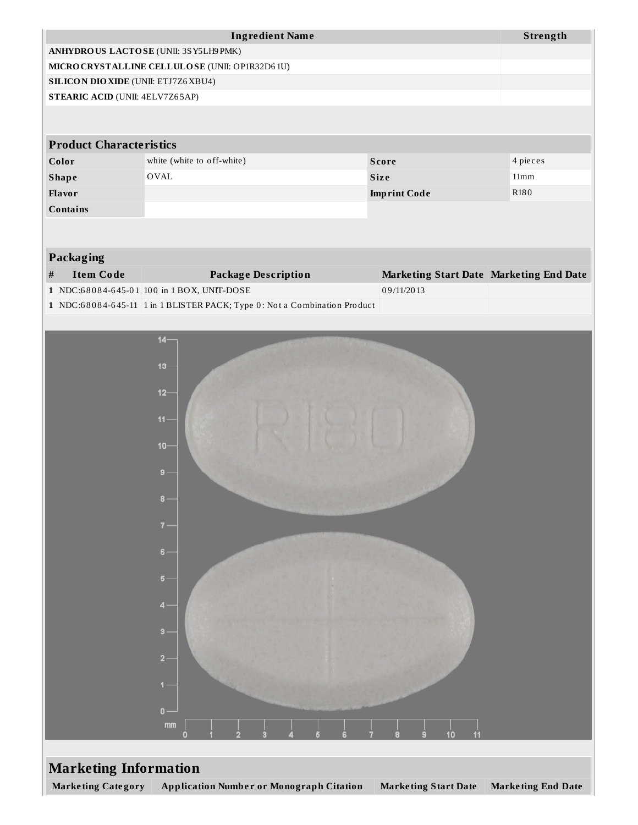|                                             | <b>Ingredient Name</b>                                                    |                                         | Strength                  |  |
|---------------------------------------------|---------------------------------------------------------------------------|-----------------------------------------|---------------------------|--|
|                                             | ANHYDROUS LACTOSE (UNII: 3SY5LH9PMK)                                      |                                         |                           |  |
|                                             | MICRO CRYSTALLINE CELLULO SE (UNII: OP1R32D61U)                           |                                         |                           |  |
| <b>SILICON DIO XIDE (UNII: ETJ7Z6 XBU4)</b> |                                                                           |                                         |                           |  |
| STEARIC ACID (UNII: 4ELV7Z65AP)             |                                                                           |                                         |                           |  |
|                                             |                                                                           |                                         |                           |  |
| <b>Product Characteristics</b>              |                                                                           |                                         |                           |  |
| Color                                       | white (white to off-white)                                                | <b>Score</b>                            | 4 pieces                  |  |
| <b>Shape</b>                                | OVAL                                                                      | <b>Size</b>                             | 11mm                      |  |
| Flavor                                      |                                                                           | <b>Imprint Code</b>                     | R <sub>180</sub>          |  |
| <b>Contains</b>                             |                                                                           |                                         |                           |  |
|                                             |                                                                           |                                         |                           |  |
| Packaging                                   |                                                                           |                                         |                           |  |
| <b>Item Code</b><br>$\#$                    |                                                                           | Marketing Start Date Marketing End Date |                           |  |
|                                             | <b>Package Description</b><br>1 NDC:68084-645-01 100 in 1 BOX, UNIT-DOSE  | 09/11/2013                              |                           |  |
|                                             | 1 NDC:68084-645-11 1 in 1 BLISTER PACK; Type 0: Not a Combination Product |                                         |                           |  |
|                                             |                                                                           |                                         |                           |  |
|                                             | $14 -$                                                                    |                                         |                           |  |
|                                             |                                                                           |                                         |                           |  |
|                                             | $13 -$                                                                    |                                         |                           |  |
|                                             |                                                                           |                                         |                           |  |
|                                             | $12 -$                                                                    |                                         |                           |  |
|                                             | $11 -$                                                                    |                                         |                           |  |
|                                             |                                                                           |                                         |                           |  |
|                                             | $10 -$                                                                    |                                         |                           |  |
|                                             | $9 -$                                                                     |                                         |                           |  |
|                                             |                                                                           |                                         |                           |  |
|                                             | $\bf{8}$                                                                  |                                         |                           |  |
|                                             |                                                                           |                                         |                           |  |
|                                             | $7 -$                                                                     |                                         |                           |  |
|                                             | $6 -$                                                                     |                                         |                           |  |
|                                             | $5 -$                                                                     |                                         |                           |  |
|                                             |                                                                           |                                         |                           |  |
|                                             | $4 -$                                                                     |                                         |                           |  |
|                                             |                                                                           |                                         |                           |  |
|                                             | $3 -$                                                                     |                                         |                           |  |
|                                             | $2 -$                                                                     |                                         |                           |  |
|                                             |                                                                           |                                         |                           |  |
|                                             | $1 -$                                                                     |                                         |                           |  |
|                                             | $0 -$                                                                     |                                         |                           |  |
|                                             | mm                                                                        |                                         |                           |  |
|                                             | o                                                                         | 10                                      |                           |  |
|                                             |                                                                           |                                         |                           |  |
| <b>Marketing Information</b>                |                                                                           |                                         |                           |  |
| <b>Marketing Category</b>                   | <b>Application Number or Monograph Citation</b>                           | <b>Marketing Start Date</b>             | <b>Marketing End Date</b> |  |